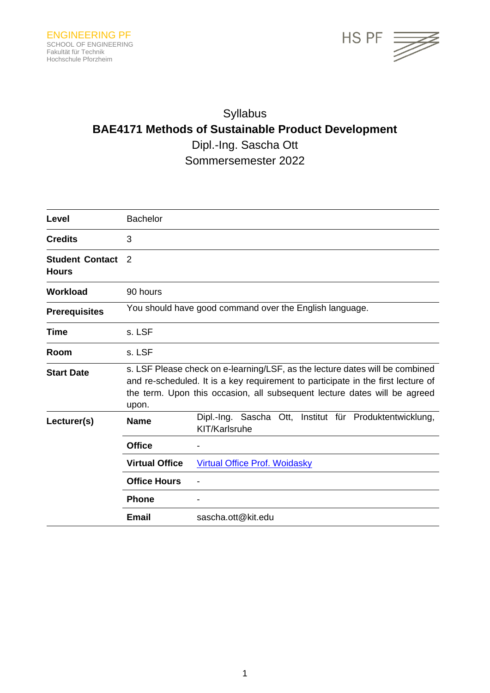

# Syllabus **BAE4171 Methods of Sustainable Product Development** Dipl.-Ing. Sascha Ott Sommersemester 2022

| Level                                  | <b>Bachelor</b>                                                                                                                                                                                                                                        |                                                                          |
|----------------------------------------|--------------------------------------------------------------------------------------------------------------------------------------------------------------------------------------------------------------------------------------------------------|--------------------------------------------------------------------------|
| <b>Credits</b>                         | 3                                                                                                                                                                                                                                                      |                                                                          |
| <b>Student Contact</b><br><b>Hours</b> | $\mathcal{P}$                                                                                                                                                                                                                                          |                                                                          |
| <b>Workload</b>                        | 90 hours                                                                                                                                                                                                                                               |                                                                          |
| <b>Prerequisites</b>                   |                                                                                                                                                                                                                                                        | You should have good command over the English language.                  |
| Time                                   | s. LSF                                                                                                                                                                                                                                                 |                                                                          |
| Room                                   | s. LSF                                                                                                                                                                                                                                                 |                                                                          |
| <b>Start Date</b>                      | s. LSF Please check on e-learning/LSF, as the lecture dates will be combined<br>and re-scheduled. It is a key requirement to participate in the first lecture of<br>the term. Upon this occasion, all subsequent lecture dates will be agreed<br>upon. |                                                                          |
| Lecturer(s)                            | <b>Name</b>                                                                                                                                                                                                                                            | Dipl.-Ing. Sascha Ott, Institut für Produktentwicklung,<br>KIT/Karlsruhe |
|                                        | <b>Office</b>                                                                                                                                                                                                                                          |                                                                          |
|                                        | <b>Virtual Office</b>                                                                                                                                                                                                                                  | <b>Virtual Office Prof. Woidasky</b>                                     |
|                                        | <b>Office Hours</b>                                                                                                                                                                                                                                    |                                                                          |
|                                        | <b>Phone</b>                                                                                                                                                                                                                                           |                                                                          |
|                                        | <b>Email</b>                                                                                                                                                                                                                                           | sascha.ott@kit.edu                                                       |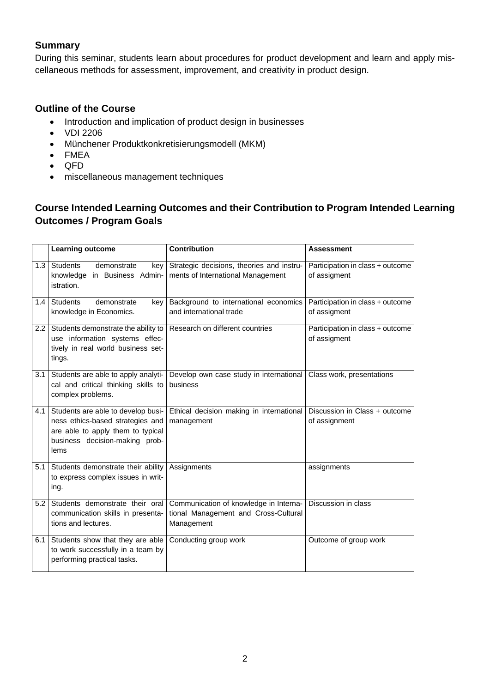### **Summary**

During this seminar, students learn about procedures for product development and learn and apply miscellaneous methods for assessment, improvement, and creativity in product design.

## **Outline of the Course**

- Introduction and implication of product design in businesses
- VDI 2206
- Münchener Produktkonkretisierungsmodell (MKM)
- FMEA
- QFD
- miscellaneous management techniques

# **Course Intended Learning Outcomes and their Contribution to Program Intended Learning Outcomes / Program Goals**

|               | <b>Learning outcome</b>                                                                                                                               | <b>Contribution</b>                                                                          | <b>Assessment</b>                                |
|---------------|-------------------------------------------------------------------------------------------------------------------------------------------------------|----------------------------------------------------------------------------------------------|--------------------------------------------------|
| 1.3           | <b>Students</b><br>demonstrate<br>key<br>knowledge in Business Admin-<br>istration.                                                                   | Strategic decisions, theories and instru-<br>ments of International Management               | Participation in class + outcome<br>of assigment |
| 1.4           | <b>Students</b><br>demonstrate<br>key<br>knowledge in Economics.                                                                                      | Background to international economics<br>and international trade                             | Participation in class + outcome<br>of assigment |
| $2.2^{\circ}$ | Students demonstrate the ability to<br>use information systems effec-<br>tively in real world business set-<br>tings.                                 | Research on different countries                                                              | Participation in class + outcome<br>of assigment |
| 3.1           | Students are able to apply analyti-<br>cal and critical thinking skills to<br>complex problems.                                                       | Develop own case study in international<br>business                                          | Class work, presentations                        |
| 4.1           | Students are able to develop busi-<br>ness ethics-based strategies and<br>are able to apply them to typical<br>business decision-making prob-<br>lems | Ethical decision making in international<br>management                                       | Discussion in Class + outcome<br>of assignment   |
| 5.1           | Students demonstrate their ability<br>to express complex issues in writ-<br>ing.                                                                      | Assignments                                                                                  | assignments                                      |
| 5.2           | Students demonstrate their oral<br>communication skills in presenta-<br>tions and lectures.                                                           | Communication of knowledge in Interna-<br>tional Management and Cross-Cultural<br>Management | Discussion in class                              |
| 6.1           | Students show that they are able<br>to work successfully in a team by<br>performing practical tasks.                                                  | Conducting group work                                                                        | Outcome of group work                            |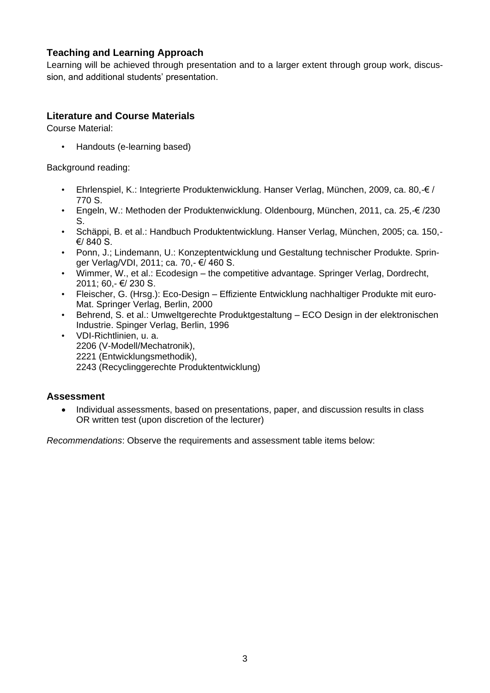# **Teaching and Learning Approach**

Learning will be achieved through presentation and to a larger extent through group work, discussion, and additional students' presentation.

# **Literature and Course Materials**

Course Material:

• Handouts (e-learning based)

Background reading:

- Ehrlenspiel, K.: Integrierte Produktenwicklung. Hanser Verlag, München, 2009, ca. 80,-€ / 770 S.
- Engeln, W.: Methoden der Produktenwicklung. Oldenbourg, München, 2011, ca. 25,-€ /230 S.
- Schäppi, B. et al.: Handbuch Produktentwicklung. Hanser Verlag, München, 2005; ca. 150,- €/ 840 S.
- Ponn, J.; Lindemann, U.: Konzeptentwicklung und Gestaltung technischer Produkte. Springer Verlag/VDI, 2011; ca. 70,- €/ 460 S.
- Wimmer, W., et al.: Ecodesign the competitive advantage. Springer Verlag, Dordrecht, 2011; 60,- €/ 230 S.
- Fleischer, G. (Hrsg.): Eco-Design Effiziente Entwicklung nachhaltiger Produkte mit euro-Mat. Springer Verlag, Berlin, 2000
- Behrend, S. et al.: Umweltgerechte Produktgestaltung ECO Design in der elektronischen Industrie. Spinger Verlag, Berlin, 1996
- VDI-Richtlinien, u. a. 2206 (V-Modell/Mechatronik), 2221 (Entwicklungsmethodik), 2243 (Recyclinggerechte Produktentwicklung)

#### **Assessment**

• Individual assessments, based on presentations, paper, and discussion results in class OR written test (upon discretion of the lecturer)

*Recommendations*: Observe the requirements and assessment table items below: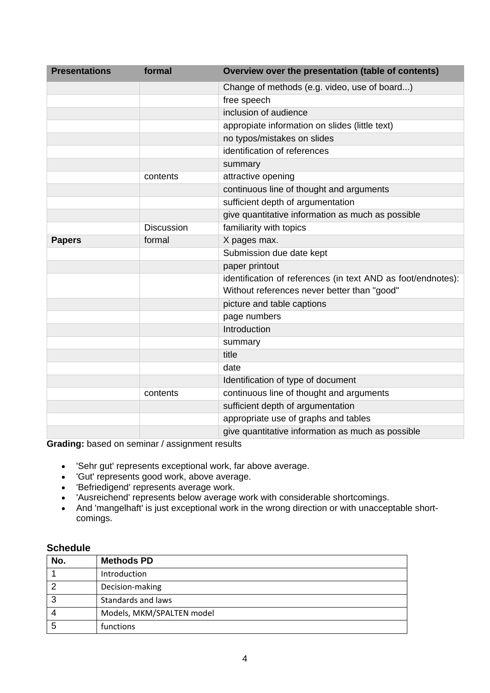| <b>Presentations</b> | formal            | Overview over the presentation (table of contents)           |
|----------------------|-------------------|--------------------------------------------------------------|
|                      |                   | Change of methods (e.g. video, use of board)                 |
|                      |                   | free speech                                                  |
|                      |                   | inclusion of audience                                        |
|                      |                   | appropiate information on slides (little text)               |
|                      |                   | no typos/mistakes on slides                                  |
|                      |                   | identification of references                                 |
|                      |                   | summary                                                      |
|                      | contents          | attractive opening                                           |
|                      |                   | continuous line of thought and arguments                     |
|                      |                   | sufficient depth of argumentation                            |
|                      |                   | give quantitative information as much as possible            |
|                      | <b>Discussion</b> | familiarity with topics                                      |
| <b>Papers</b>        | formal            | X pages max.                                                 |
|                      |                   | Submission due date kept                                     |
|                      |                   | paper printout                                               |
|                      |                   | identification of references (in text AND as foot/endnotes): |
|                      |                   | Without references never better than "good"                  |
|                      |                   | picture and table captions                                   |
|                      |                   | page numbers                                                 |
|                      |                   | Introduction                                                 |
|                      |                   | summary                                                      |
|                      |                   | title                                                        |
|                      |                   | date                                                         |
|                      |                   | Identification of type of document                           |
|                      | contents          | continuous line of thought and arguments                     |
|                      |                   | sufficient depth of argumentation                            |
|                      |                   | appropriate use of graphs and tables                         |
|                      |                   | give quantitative information as much as possible            |

**Grading:** based on seminar / assignment results

- 'Sehr gut' represents exceptional work, far above average.
- 'Gut' represents good work, above average.
- 'Befriedigend' represents average work.
- 'Ausreichend' represents below average work with considerable shortcomings.
- And 'mangelhaft' is just exceptional work in the wrong direction or with unacceptable shortcomings.

#### **Schedule**

| No. | <b>Methods PD</b>         |
|-----|---------------------------|
|     | Introduction              |
| າ   | Decision-making           |
| 3   | Standards and laws        |
|     | Models, MKM/SPALTEN model |
| 5   | functions                 |